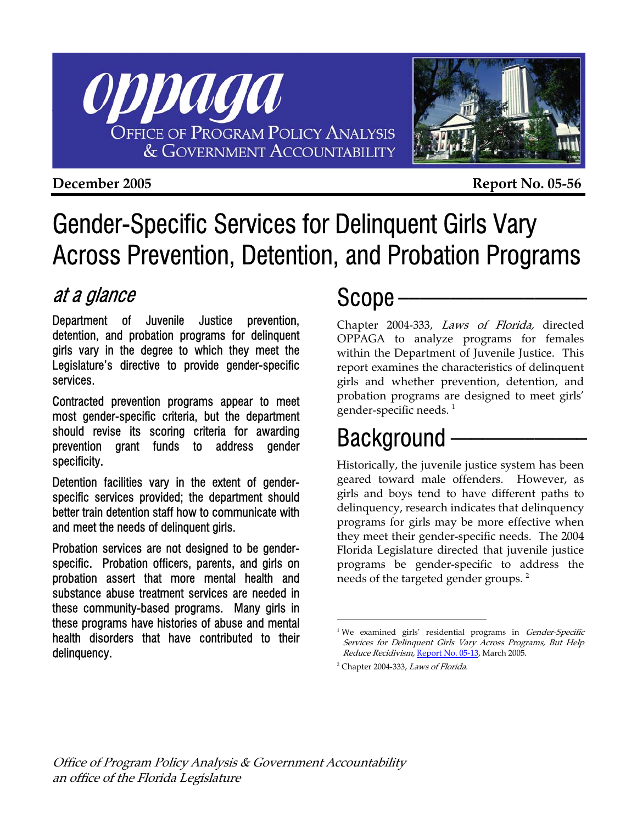



**December 2005 Report No. 05-56** 

# Gender-Specific Services for Delinquent Girls Vary Across Prevention, Detention, and Probation Programs

# at a glance

Department of Juvenile Justice prevention, detention, and probation programs for delinquent girls vary in the degree to which they meet the Legislature's directive to provide gender-specific services.

Contracted prevention programs appear to meet most gender-specific criteria, but the department should revise its scoring criteria for awarding prevention grant funds to address gender specificity.

Detention facilities vary in the extent of genderspecific services provided; the department should better train detention staff how to communicate with and meet the needs of delinquent girls.

Probation services are not designed to be genderspecific. Probation officers, parents, and girls on probation assert that more mental health and substance abuse treatment services are needed in these community-based programs. Many girls in these programs have histories of abuse and mental health disorders that have contributed to their delinquency.

# Scope -

Chapter 2004-333, Laws of Florida, directed OPPAGA to analyze programs for females within the Department of Juvenile Justice. This report examines the characteristics of delinquent girls and whether prevention, detention, and probation programs are designed to meet girls' gender-specific needs.  $^1$ 

# Background -

Historically, the juvenile justice system has been geared toward male offenders. However, as girls and boys tend to have different paths to delinquency, research indicates that delinquency programs for girls may be more effective when they meet their gender-specific needs. The 2004 Florida Legislature directed that juvenile justice programs be gender-specific to address the needs of the targeted gender groups.  $^2$  $^2$ 

 $\overline{a}$ 

<span id="page-0-0"></span>Services for Delinquent Girls Vary Across Programs, But Help *Reduce Recidivism,* <u>[Report No. 05-13](http://www.oppaga.state.fl.us/reports/crime/r05-13s.html)</u>, March 2005. <sup>1</sup>We examined girls' residential programs in *Gender-Specific* 

<span id="page-0-1"></span><sup>&</sup>lt;sup>2</sup> Chapter 2004-333, Laws of Florida.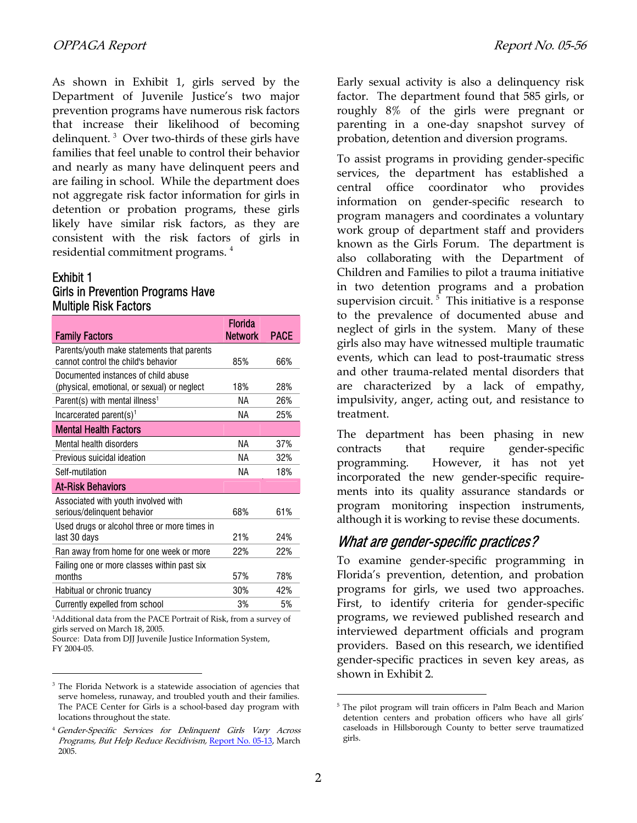As shown in Exhibit 1, girls served by the Department of Juvenile Justice's two major prevention programs have numerous risk factors that increase their likelihood of becoming delinquent. <sup>[3](#page-1-0)</sup> Over two-thirds of these girls have families that feel unable to control their behavior and nearly as many have delinquent peers and are failing in school. While the department does not aggregate risk factor information for girls in detention or probation programs, these girls likely have similar risk factors, as they are consistent with the risk factors of girls in residential commitment programs.  $^4$  $^4$ 

#### Exhibit 1

l

## Girls in Prevention Programs Have Multiple Risk Factors

|                                              | <b>Florida</b> |             |  |  |
|----------------------------------------------|----------------|-------------|--|--|
| <b>Family Factors</b>                        | <b>Network</b> | <b>PACE</b> |  |  |
| Parents/youth make statements that parents   |                |             |  |  |
| cannot control the child's behavior          | 85%            | 66%         |  |  |
| Documented instances of child abuse          |                |             |  |  |
| (physical, emotional, or sexual) or neglect  | 18%            | 28%         |  |  |
| Parent(s) with mental illness <sup>1</sup>   | ΝA             | 26%         |  |  |
| Incarcerated parent(s) <sup>1</sup>          | ΝA             | 25%         |  |  |
| <b>Mental Health Factors</b>                 |                |             |  |  |
| Mental health disorders                      | ΝA             | 37%         |  |  |
| Previous suicidal ideation                   | ΝA             | 32%         |  |  |
| Self-mutilation                              | ΝA             | 18%         |  |  |
| <b>At-Risk Behaviors</b>                     |                |             |  |  |
| Associated with youth involved with          |                |             |  |  |
| serious/delinquent behavior                  | 68%            | 61%         |  |  |
| Used drugs or alcohol three or more times in |                |             |  |  |
| last 30 days                                 | 21%            | 24%         |  |  |
| Ran away from home for one week or more      | 22%            | 22%         |  |  |
| Failing one or more classes within past six  |                |             |  |  |
| months                                       | 57%            | 78%         |  |  |
| Habitual or chronic truancy                  | 30%            | 42%         |  |  |
| Currently expelled from school               | 3%             | 5%          |  |  |
| $\mathbf{1}$                                 |                |             |  |  |

1 Additional data from the PACE Portrait of Risk, from a survey of girls served on March 18, 2005. Source: Data from DJJ Juvenile Justice Information System,

FY 2004-05.

Early sexual activity is also a delinquency risk factor. The department found that 585 girls, or roughly 8% of the girls were pregnant or parenting in a one-day snapshot survey of probation, detention and diversion programs.

To assist programs in providing gender-specific services, the department has established a central office coordinator who provides information on gender-specific research to program managers and coordinates a voluntary work group of department staff and providers known as the Girls Forum. The department is also collaborating with the Department of Children and Families to pilot a trauma initiative in two detention programs and a probation supervision circuit.<sup>5</sup> This initiative is a response to the prevalence of documented abuse and neglect of girls in the system. Many of these girls also may have witnessed multiple traumatic events, which can lead to post-traumatic stress and other trauma-related mental disorders that are characterized by a lack of empathy, impulsivity, anger, acting out, and resistance to treatment.

The department has been phasing in new contracts that require gender-specific programming. However, it has not yet incorporated the new gender-specific requirements into its quality assurance standards or program monitoring inspection instruments, although it is working to revise these documents.

# What are gender-specific practices?

To examine gender-specific programming in Florida's prevention, detention, and probation programs for girls, we used two approaches. First, to identify criteria for gender-specific programs, we reviewed published research and interviewed department officials and program providers. Based on this research, we identified gender-specific practices in seven key areas, as shown in Exhibit 2.

 $\overline{a}$ 

<span id="page-1-0"></span><sup>&</sup>lt;sup>3</sup> The Florida Network is a statewide association of agencies that serve homeless, runaway, and troubled youth and their families. The PACE Center for Girls is a school-based day program with locations throughout the state.

<span id="page-1-1"></span><sup>&</sup>lt;sup>4</sup> Gender-Specific Services for Delinquent Girls Vary Across Programs, But Help Reduce Recidivism, [Report No. 05-13,](http://www.oppaga.state.fl.us/reports/crime/r05-13s.html) March 2005.

<span id="page-1-2"></span><sup>&</sup>lt;sup>5</sup> The pilot program will train officers in Palm Beach and Marion detention centers and probation officers who have all girls' caseloads in Hillsborough County to better serve traumatized girls.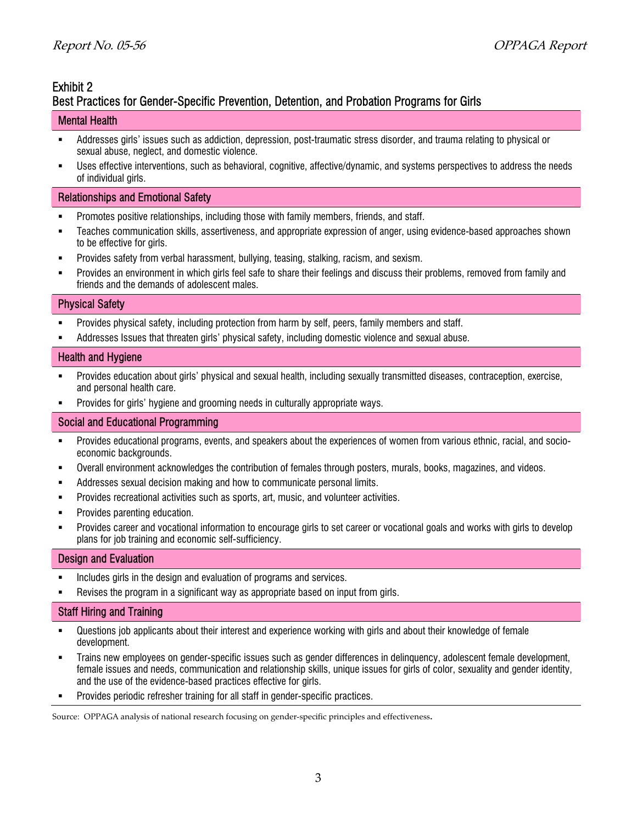# Exhibit 2

# Best Practices for Gender-Specific Prevention, Detention, and Probation Programs for Girls

## Mental Health

- Addresses girls' issues such as addiction, depression, post-traumatic stress disorder, and trauma relating to physical or sexual abuse, neglect, and domestic violence.
- Uses effective interventions, such as behavioral, cognitive, affective/dynamic, and systems perspectives to address the needs of individual girls.

## Relationships and Emotional Safety

- Promotes positive relationships, including those with family members, friends, and staff.
- Teaches communication skills, assertiveness, and appropriate expression of anger, using evidence-based approaches shown to be effective for girls.
- Provides safety from verbal harassment, bullying, teasing, stalking, racism, and sexism.
- Provides an environment in which girls feel safe to share their feelings and discuss their problems, removed from family and friends and the demands of adolescent males.

### Physical Safety

- Provides physical safety, including protection from harm by self, peers, family members and staff.
- Addresses Issues that threaten girls' physical safety, including domestic violence and sexual abuse.

### Health and Hygiene

- Provides education about girls' physical and sexual health, including sexually transmitted diseases, contraception, exercise, and personal health care.
- **Provides for girls' hygiene and grooming needs in culturally appropriate ways.**

## Social and Educational Programming

- Provides educational programs, events, and speakers about the experiences of women from various ethnic, racial, and socioeconomic backgrounds.
- Overall environment acknowledges the contribution of females through posters, murals, books, magazines, and videos.
- Addresses sexual decision making and how to communicate personal limits.
- Provides recreational activities such as sports, art, music, and volunteer activities.
- **•** Provides parenting education.
- Provides career and vocational information to encourage girls to set career or vocational goals and works with girls to develop plans for job training and economic self-sufficiency.

#### Design and Evaluation

- **Includes girls in the design and evaluation of programs and services.**
- Revises the program in a significant way as appropriate based on input from girls.

## Staff Hiring and Training

- Questions job applicants about their interest and experience working with girls and about their knowledge of female development.
- Trains new employees on gender-specific issues such as gender differences in delinquency, adolescent female development, female issues and needs, communication and relationship skills, unique issues for girls of color, sexuality and gender identity, and the use of the evidence-based practices effective for girls.
- Provides periodic refresher training for all staff in gender-specific practices.

Source: OPPAGA analysis of national research focusing on gender-specific principles and effectiveness.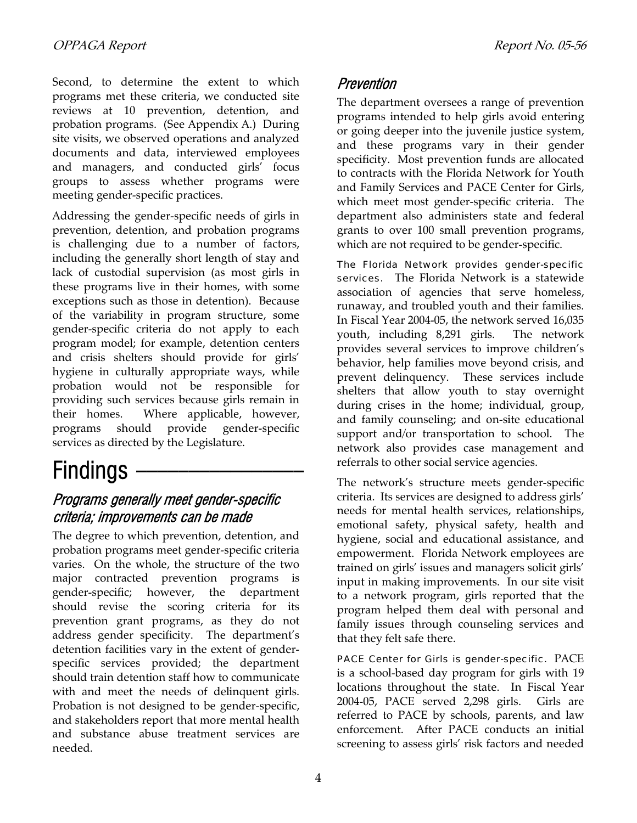Second, to determine the extent to which programs met these criteria, we conducted site reviews at 10 prevention, detention, and probation programs. (See Appendix A.) During site visits, we observed operations and analyzed documents and data, interviewed employees and managers, and conducted girls' focus groups to assess whether programs were meeting gender-specific practices.

Addressing the gender-specific needs of girls in prevention, detention, and probation programs is challenging due to a number of factors, including the generally short length of stay and lack of custodial supervision (as most girls in these programs live in their homes, with some exceptions such as those in detention). Because of the variability in program structure, some gender-specific criteria do not apply to each program model; for example, detention centers and crisis shelters should provide for girls' hygiene in culturally appropriate ways, while probation would not be responsible for providing such services because girls remain in their homes. Where applicable, however, programs should provide gender-specific services as directed by the Legislature.

# Findings -

# Programs generally meet gender-specific criteria; improvements can be made

The degree to which prevention, detention, and probation programs meet gender-specific criteria varies. On the whole, the structure of the two major contracted prevention programs is gender-specific; however, the department should revise the scoring criteria for its prevention grant programs, as they do not address gender specificity. The department's detention facilities vary in the extent of genderspecific services provided; the department should train detention staff how to communicate with and meet the needs of delinquent girls. Probation is not designed to be gender-specific, and stakeholders report that more mental health and substance abuse treatment services are needed.

# Prevention

The department oversees a range of prevention programs intended to help girls avoid entering or going deeper into the juvenile justice system, and these programs vary in their gender specificity. Most prevention funds are allocated to contracts with the Florida Network for Youth and Family Services and PACE Center for Girls, which meet most gender-specific criteria. The department also administers state and federal grants to over 100 small prevention programs, which are not required to be gender-specific.

The Florida Network provides gender-specific services. The Florida Network is a statewide association of agencies that serve homeless, runaway, and troubled youth and their families. In Fiscal Year 2004-05, the network served 16,035 youth, including 8,291 girls. The network provides several services to improve children's behavior, help families move beyond crisis, and prevent delinquency. These services include shelters that allow youth to stay overnight during crises in the home; individual, group, and family counseling; and on-site educational support and/or transportation to school. The network also provides case management and referrals to other social service agencies.

The network's structure meets gender-specific criteria. Its services are designed to address girls' needs for mental health services, relationships, emotional safety, physical safety, health and hygiene, social and educational assistance, and empowerment. Florida Network employees are trained on girls' issues and managers solicit girls' input in making improvements. In our site visit to a network program, girls reported that the program helped them deal with personal and family issues through counseling services and that they felt safe there.

PACE Center for Girls is gender-specific. PACE is a school-based day program for girls with 19 locations throughout the state. In Fiscal Year 2004-05, PACE served 2,298 girls. Girls are referred to PACE by schools, parents, and law enforcement. After PACE conducts an initial screening to assess girls' risk factors and needed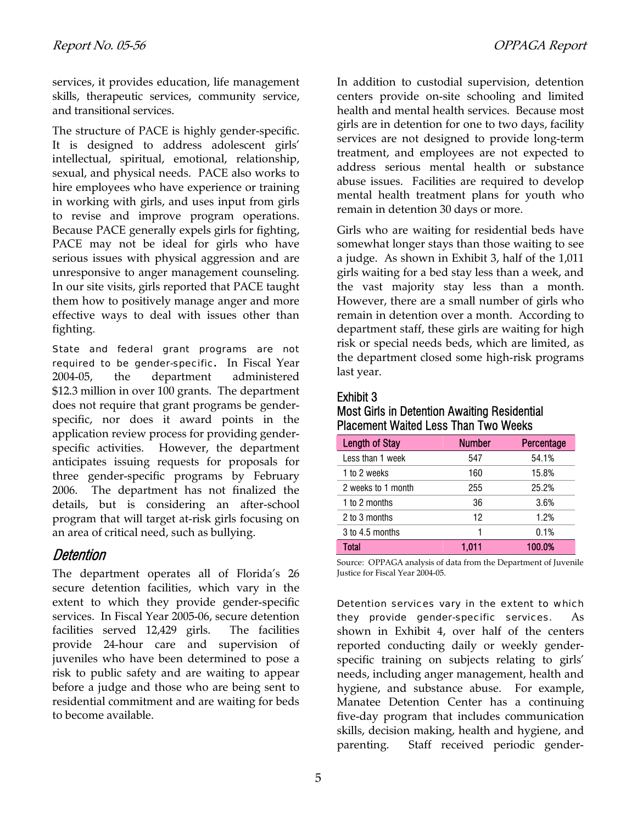services, it provides education, life management skills, therapeutic services, community service, and transitional services.

The structure of PACE is highly gender-specific. It is designed to address adolescent girls' intellectual, spiritual, emotional, relationship, sexual, and physical needs. PACE also works to hire employees who have experience or training in working with girls, and uses input from girls to revise and improve program operations. Because PACE generally expels girls for fighting, PACE may not be ideal for girls who have serious issues with physical aggression and are unresponsive to anger management counseling. In our site visits, girls reported that PACE taught them how to positively manage anger and more effective ways to deal with issues other than fighting.

State and federal grant programs are not required to be gender-specific**.** In Fiscal Year 2004-05, the department administered \$12.3 million in over 100 grants. The department does not require that grant programs be genderspecific, nor does it award points in the application review process for providing genderspecific activities. However, the department anticipates issuing requests for proposals for three gender-specific programs by February 2006. The department has not finalized the details, but is considering an after-school program that will target at-risk girls focusing on an area of critical need, such as bullying.

# **Detention**

The department operates all of Florida's 26 secure detention facilities, which vary in the extent to which they provide gender-specific services. In Fiscal Year 2005-06, secure detention facilities served 12,429 girls. The facilities provide 24-hour care and supervision of juveniles who have been determined to pose a risk to public safety and are waiting to appear before a judge and those who are being sent to residential commitment and are waiting for beds to become available.

In addition to custodial supervision, detention centers provide on-site schooling and limited health and mental health services. Because most girls are in detention for one to two days, facility services are not designed to provide long-term treatment, and employees are not expected to address serious mental health or substance abuse issues. Facilities are required to develop mental health treatment plans for youth who remain in detention 30 days or more.

Girls who are waiting for residential beds have somewhat longer stays than those waiting to see a judge. As shown in Exhibit 3, half of the 1,011 girls waiting for a bed stay less than a week, and the vast majority stay less than a month. However, there are a small number of girls who remain in detention over a month. According to department staff, these girls are waiting for high risk or special needs beds, which are limited, as the department closed some high-risk programs last year.

# Exhibit 3

## Most Girls in Detention Awaiting Residential Placement Waited Less Than Two Weeks

| <b>Length of Stay</b> | <b>Number</b> | Percentage |
|-----------------------|---------------|------------|
| Less than 1 week      | 547           | 54.1%      |
| 1 to 2 weeks          | 160           | 15.8%      |
| 2 weeks to 1 month    | 255           | 25.2%      |
| 1 to 2 months         | 36            | 3.6%       |
| 2 to 3 months         | 12            | 1.2%       |
| 3 to 4.5 months       | 1             | 0.1%       |
| Total                 | 1.011         | 100.0%     |

Source: OPPAGA analysis of data from the Department of Juvenile Justice for Fiscal Year 2004-05.

Detention services vary in the extent to which they provide gender-specific services. As shown in Exhibit 4, over half of the centers reported conducting daily or weekly genderspecific training on subjects relating to girls' needs, including anger management, health and hygiene, and substance abuse. For example, Manatee Detention Center has a continuing five-day program that includes communication skills, decision making, health and hygiene, and parenting. Staff received periodic gender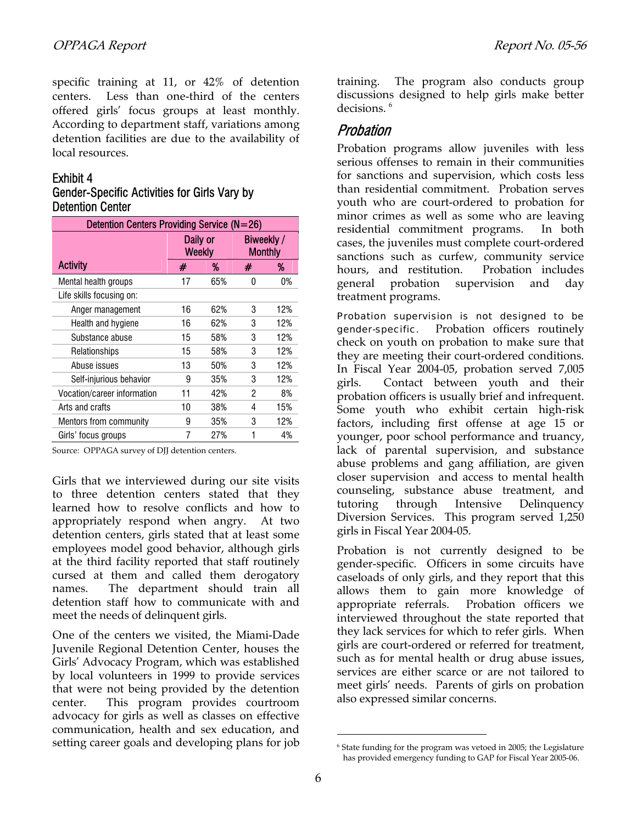specific training at 11, or 42% of detention centers. Less than one-third of the centers offered girls' focus groups at least monthly. According to department staff, variations among detention facilities are due to the availability of local resources.

## Exhibit 4

# Gender-Specific Activities for Girls Vary by Detention Center

| Detention Centers Providing Service (N=26) |                           |     |                              |     |  |
|--------------------------------------------|---------------------------|-----|------------------------------|-----|--|
|                                            | Daily or<br><b>Weekly</b> |     | Biweekly /<br><b>Monthly</b> |     |  |
| <b>Activity</b>                            | #                         | %   | #                            | %   |  |
| Mental health groups                       | 17                        | 65% | 0                            | 0%  |  |
| Life skills focusing on:                   |                           |     |                              |     |  |
| Anger management                           | 16                        | 62% | 3                            | 12% |  |
| Health and hygiene                         | 16                        | 62% | 3                            | 12% |  |
| Substance abuse                            | 15                        | 58% | 3                            | 12% |  |
| Relationships                              | 15                        | 58% | 3                            | 12% |  |
| Abuse issues                               | 13                        | 50% | 3                            | 12% |  |
| Self-injurious behavior                    | 9                         | 35% | 3                            | 12% |  |
| Vocation/career information                | 11                        | 42% | 2                            | 8%  |  |
| Arts and crafts                            | 10                        | 38% | 4                            | 15% |  |
| Mentors from community                     | 9                         | 35% | 3                            | 12% |  |
| Girls' focus groups                        |                           | 27% | 1                            | 4%  |  |

Source: OPPAGA survey of DJJ detention centers.

Girls that we interviewed during our site visits to three detention centers stated that they learned how to resolve conflicts and how to appropriately respond when angry. At two detention centers, girls stated that at least some employees model good behavior, although girls at the third facility reported that staff routinely cursed at them and called them derogatory names. The department should train all detention staff how to communicate with and meet the needs of delinquent girls.

One of the centers we visited, the Miami-Dade Juvenile Regional Detention Center, houses the Girls' Advocacy Program, which was established by local volunteers in 1999 to provide services that were not being provided by the detention center. This program provides courtroom advocacy for girls as well as classes on effective communication, health and sex education, and setting career goals and developing plans for job training. The program also conducts group discussions designed to help girls make better decisions.<sup>[6](#page-5-0)</sup>

# Probation

Probation programs allow juveniles with less serious offenses to remain in their communities for sanctions and supervision, which costs less than residential commitment. Probation serves youth who are court-ordered to probation for minor crimes as well as some who are leaving residential commitment programs. In both cases, the juveniles must complete court-ordered sanctions such as curfew, community service hours, and restitution. Probation includes general probation supervision and day treatment programs.

Probation supervision is not designed to be gender-specific. Probation officers routinely check on youth on probation to make sure that they are meeting their court-ordered conditions. In Fiscal Year 2004-05, probation served 7,005 girls. Contact between youth and their probation officers is usually brief and infrequent. Some youth who exhibit certain high-risk factors, including first offense at age 15 or younger, poor school performance and truancy, lack of parental supervision, and substance abuse problems and gang affiliation, are given closer supervision and access to mental health counseling, substance abuse treatment, and tutoring through Intensive Delinquency Diversion Services. This program served 1,250 girls in Fiscal Year 2004-05.

Probation is not currently designed to be gender-specific. Officers in some circuits have caseloads of only girls, and they report that this allows them to gain more knowledge of appropriate referrals. Probation officers we interviewed throughout the state reported that they lack services for which to refer girls. When girls are court-ordered or referred for treatment, such as for mental health or drug abuse issues, services are either scarce or are not tailored to meet girls' needs. Parents of girls on probation also expressed similar concerns.

 $\overline{a}$ 

<span id="page-5-0"></span> $6$  State funding for the program was vetoed in 2005; the Legislature has provided emergency funding to GAP for Fiscal Year 2005-06.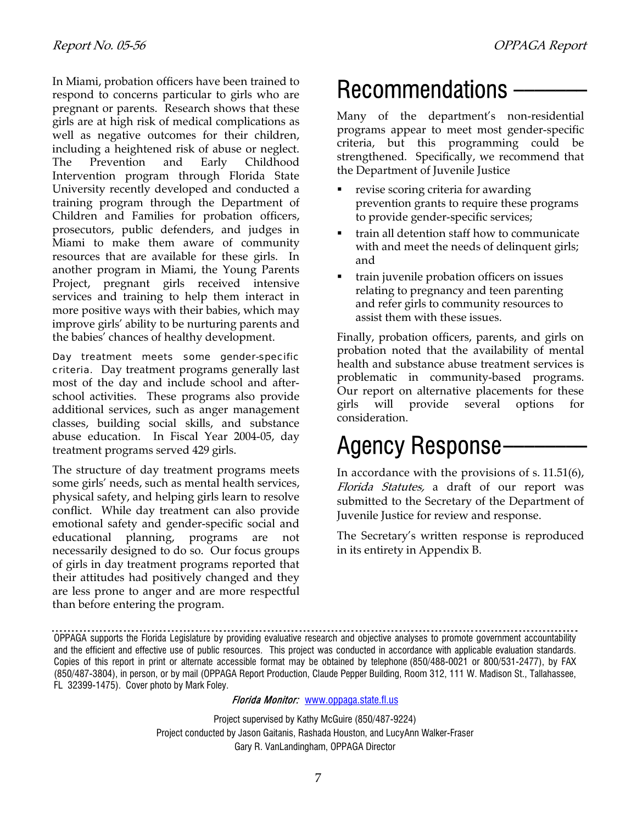In Miami, probation officers have been trained to  $\overline{R}$ **ecommendations** - respond to concerns particular to girls who are pregnant or parents. Research shows that these girls are at high risk of medical complications as well as negative outcomes for their children, including a heightened risk of abuse or neglect. The Prevention and Early Childhood Intervention program through Florida State University recently developed and conducted a training program through the Department of Children and Families for probation officers, prosecutors, public defenders, and judges in Miami to make them aware of community resources that are available for these girls. In another program in Miami, the Young Parents Project, pregnant girls received intensive services and training to help them interact in more positive ways with their babies, which may improve girls' ability to be nurturing parents and the babies' chances of healthy development.

Day treatment meets some gender-specific criteria. Day treatment programs generally last most of the day and include school and afterschool activities. These programs also provide additional services, such as anger management classes, building social skills, and substance abuse education. In Fiscal Year 2004-05, day abuse equication. In Fiscal Year 2004-05, day **Agency Response** 

The structure of day treatment programs meets some girls' needs, such as mental health services, physical safety, and helping girls learn to resolve conflict. While day treatment can also provide emotional safety and gender-specific social and educational planning, programs are not necessarily designed to do so. Our focus groups of girls in day treatment programs reported that their attitudes had positively changed and they are less prone to anger and are more respectful than before entering the program.

Many of the department's non-residential programs appear to meet most gender-specific criteria, but this programming could be strengthened. Specifically, we recommend that the Department of Juvenile Justice

- revise scoring criteria for awarding prevention grants to require these programs to provide gender-specific services;
- train all detention staff how to communicate with and meet the needs of delinquent girls; and
- train juvenile probation officers on issues relating to pregnancy and teen parenting and refer girls to community resources to assist them with these issues.

Finally, probation officers, parents, and girls on probation noted that the availability of mental health and substance abuse treatment services is problematic in community-based programs. Our report on alternative placements for these girls will provide several options for consideration.

In accordance with the provisions of s. 11.51(6), Florida Statutes, a draft of our report was submitted to the Secretary of the Department of Juvenile Justice for review and response.

The Secretary's written response is reproduced in its entirety in Appendix B.

## Florida Monitor: [www.oppaga.state.fl.us](http://www.oppaga.state.fl.us/)

Project supervised by Kathy McGuire (850/487-9224) Project conducted by Jason Gaitanis, Rashada Houston, and LucyAnn Walker-Fraser Gary R. VanLandingham, OPPAGA Director

OPPAGA supports the Florida Legislature by providing evaluative research and objective analyses to promote government accountability and the efficient and effective use of public resources. This project was conducted in accordance with applicable evaluation standards. Copies of this report in print or alternate accessible format may be obtained by telephone (850/488-0021 or 800/531-2477), by FAX (850/487-3804), in person, or by mail (OPPAGA Report Production, Claude Pepper Building, Room 312, 111 W. Madison St., Tallahassee, FL 32399-1475). Cover photo by Mark Foley.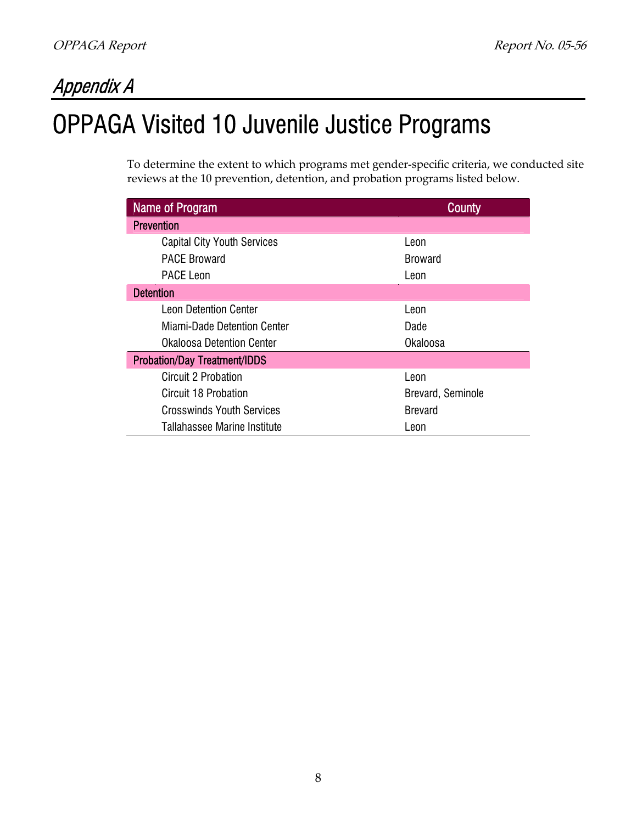# Appendix A

# OPPAGA Visited 10 Juvenile Justice Programs

To determine the extent to which programs met gender-specific criteria, we conducted site reviews at the 10 prevention, detention, and probation programs listed below.

| <b>Name of Program</b>              | <b>County</b>     |  |
|-------------------------------------|-------------------|--|
| <b>Prevention</b>                   |                   |  |
| <b>Capital City Youth Services</b>  | Leon              |  |
| <b>PACE Broward</b>                 | <b>Broward</b>    |  |
| <b>PACE Leon</b>                    | Leon              |  |
| <b>Detention</b>                    |                   |  |
| <b>Leon Detention Center</b>        | Leon              |  |
| Miami-Dade Detention Center         | Dade              |  |
| <b>Okaloosa Detention Center</b>    | Okaloosa          |  |
| <b>Probation/Day Treatment/IDDS</b> |                   |  |
| Circuit 2 Probation                 | Leon              |  |
| Circuit 18 Probation                | Brevard, Seminole |  |
| <b>Crosswinds Youth Services</b>    | <b>Brevard</b>    |  |
| Tallahassee Marine Institute        | Leon              |  |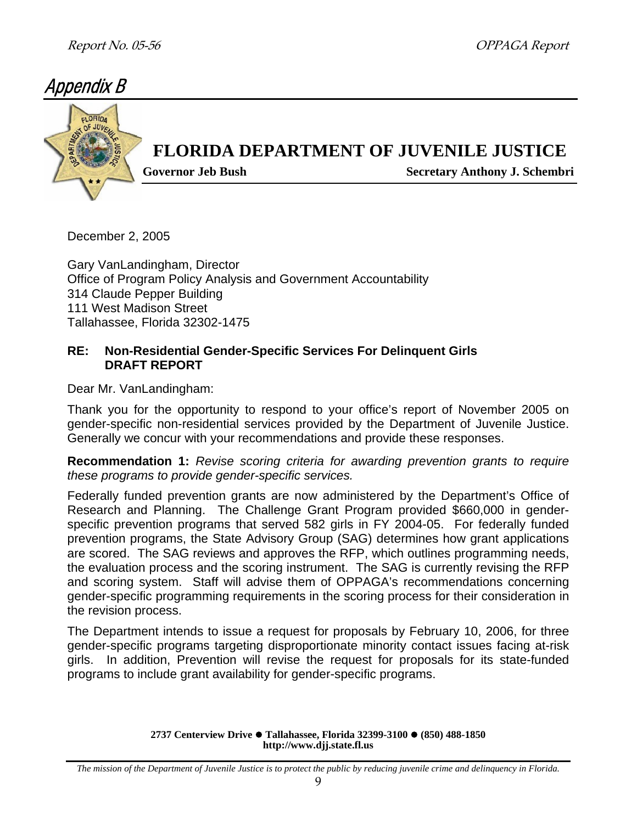# Appendix B



December 2, 2005

Gary VanLandingham, Director Office of Program Policy Analysis and Government Accountability 314 Claude Pepper Building 111 West Madison Street Tallahassee, Florida 32302-1475

# **RE: Non-Residential Gender-Specific Services For Delinquent Girls DRAFT REPORT**

Dear Mr. VanLandingham:

Thank you for the opportunity to respond to your office's report of November 2005 on gender-specific non-residential services provided by the Department of Juvenile Justice. Generally we concur with your recommendations and provide these responses.

**Recommendation 1:** *Revise scoring criteria for awarding prevention grants to require these programs to provide gender-specific services.*

Federally funded prevention grants are now administered by the Department's Office of Research and Planning. The Challenge Grant Program provided \$660,000 in genderspecific prevention programs that served 582 girls in FY 2004-05. For federally funded prevention programs, the State Advisory Group (SAG) determines how grant applications are scored. The SAG reviews and approves the RFP, which outlines programming needs, the evaluation process and the scoring instrument. The SAG is currently revising the RFP and scoring system. Staff will advise them of OPPAGA's recommendations concerning gender-specific programming requirements in the scoring process for their consideration in the revision process.

The Department intends to issue a request for proposals by February 10, 2006, for three gender-specific programs targeting disproportionate minority contact issues facing at-risk girls. In addition, Prevention will revise the request for proposals for its state-funded programs to include grant availability for gender-specific programs.

> **2737 Centerview Drive ● Tallahassee, Florida 32399-3100 ● (850) 488-1850 http://www.djj.state.fl.us**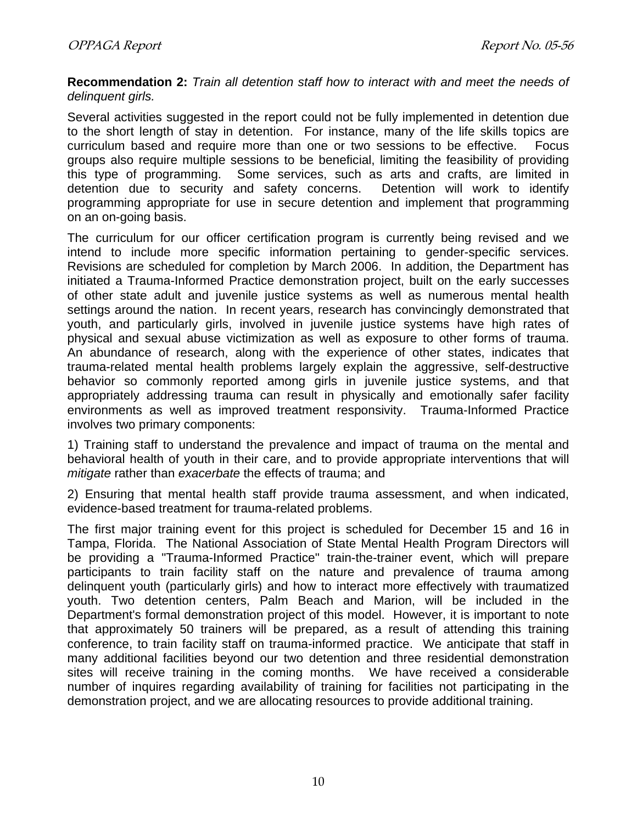**Recommendation 2:** *Train all detention staff how to interact with and meet the needs of delinquent girls.* 

Several activities suggested in the report could not be fully implemented in detention due to the short length of stay in detention. For instance, many of the life skills topics are curriculum based and require more than one or two sessions to be effective. Focus groups also require multiple sessions to be beneficial, limiting the feasibility of providing this type of programming. Some services, such as arts and crafts, are limited in detention due to security and safety concerns. Detention will work to identify programming appropriate for use in secure detention and implement that programming on an on-going basis.

The curriculum for our officer certification program is currently being revised and we intend to include more specific information pertaining to gender-specific services. Revisions are scheduled for completion by March 2006. In addition, the Department has initiated a Trauma-Informed Practice demonstration project, built on the early successes of other state adult and juvenile justice systems as well as numerous mental health settings around the nation. In recent years, research has convincingly demonstrated that youth, and particularly girls, involved in juvenile justice systems have high rates of physical and sexual abuse victimization as well as exposure to other forms of trauma. An abundance of research, along with the experience of other states, indicates that trauma-related mental health problems largely explain the aggressive, self-destructive behavior so commonly reported among girls in juvenile justice systems, and that appropriately addressing trauma can result in physically and emotionally safer facility environments as well as improved treatment responsivity. Trauma-Informed Practice involves two primary components:

1) Training staff to understand the prevalence and impact of trauma on the mental and behavioral health of youth in their care, and to provide appropriate interventions that will *mitigate* rather than *exacerbate* the effects of trauma; and

2) Ensuring that mental health staff provide trauma assessment, and when indicated, evidence-based treatment for trauma-related problems.

The first major training event for this project is scheduled for December 15 and 16 in Tampa, Florida. The National Association of State Mental Health Program Directors will be providing a "Trauma-Informed Practice" train-the-trainer event, which will prepare participants to train facility staff on the nature and prevalence of trauma among delinquent youth (particularly girls) and how to interact more effectively with traumatized youth. Two detention centers, Palm Beach and Marion, will be included in the Department's formal demonstration project of this model. However, it is important to note that approximately 50 trainers will be prepared, as a result of attending this training conference, to train facility staff on trauma-informed practice. We anticipate that staff in many additional facilities beyond our two detention and three residential demonstration sites will receive training in the coming months. We have received a considerable number of inquires regarding availability of training for facilities not participating in the demonstration project, and we are allocating resources to provide additional training.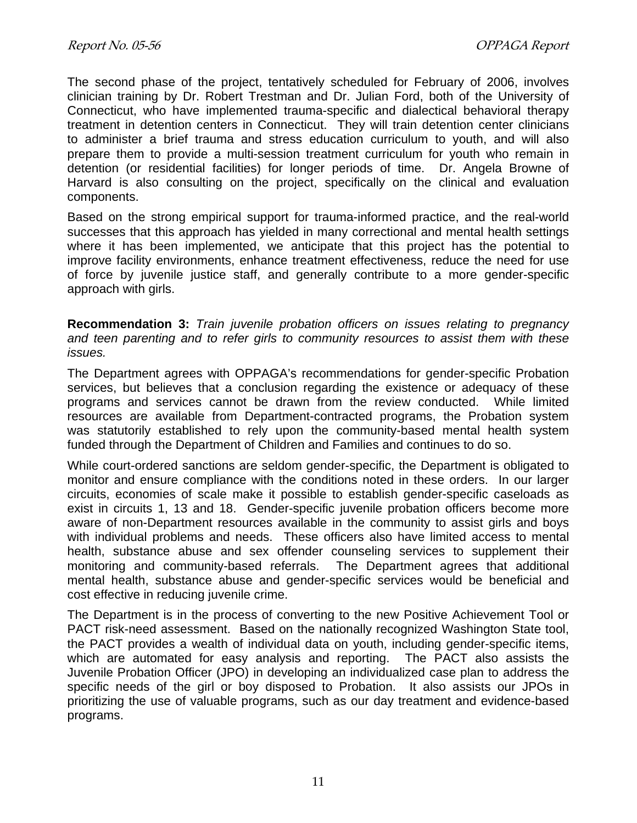The second phase of the project, tentatively scheduled for February of 2006, involves clinician training by Dr. Robert Trestman and Dr. Julian Ford, both of the University of Connecticut, who have implemented trauma-specific and dialectical behavioral therapy treatment in detention centers in Connecticut. They will train detention center clinicians to administer a brief trauma and stress education curriculum to youth, and will also prepare them to provide a multi-session treatment curriculum for youth who remain in detention (or residential facilities) for longer periods of time. Dr. Angela Browne of Harvard is also consulting on the project, specifically on the clinical and evaluation components.

Based on the strong empirical support for trauma-informed practice, and the real-world successes that this approach has yielded in many correctional and mental health settings where it has been implemented, we anticipate that this project has the potential to improve facility environments, enhance treatment effectiveness, reduce the need for use of force by juvenile justice staff, and generally contribute to a more gender-specific approach with girls.

**Recommendation 3:** *Train juvenile probation officers on issues relating to pregnancy and teen parenting and to refer girls to community resources to assist them with these issues.* 

The Department agrees with OPPAGA's recommendations for gender-specific Probation services, but believes that a conclusion regarding the existence or adequacy of these programs and services cannot be drawn from the review conducted. While limited resources are available from Department-contracted programs, the Probation system was statutorily established to rely upon the community-based mental health system funded through the Department of Children and Families and continues to do so.

While court-ordered sanctions are seldom gender-specific, the Department is obligated to monitor and ensure compliance with the conditions noted in these orders. In our larger circuits, economies of scale make it possible to establish gender-specific caseloads as exist in circuits 1, 13 and 18. Gender-specific juvenile probation officers become more aware of non-Department resources available in the community to assist girls and boys with individual problems and needs. These officers also have limited access to mental health, substance abuse and sex offender counseling services to supplement their monitoring and community-based referrals. The Department agrees that additional mental health, substance abuse and gender-specific services would be beneficial and cost effective in reducing juvenile crime.

The Department is in the process of converting to the new Positive Achievement Tool or PACT risk-need assessment. Based on the nationally recognized Washington State tool, the PACT provides a wealth of individual data on youth, including gender-specific items, which are automated for easy analysis and reporting. The PACT also assists the Juvenile Probation Officer (JPO) in developing an individualized case plan to address the specific needs of the girl or boy disposed to Probation. It also assists our JPOs in prioritizing the use of valuable programs, such as our day treatment and evidence-based programs.